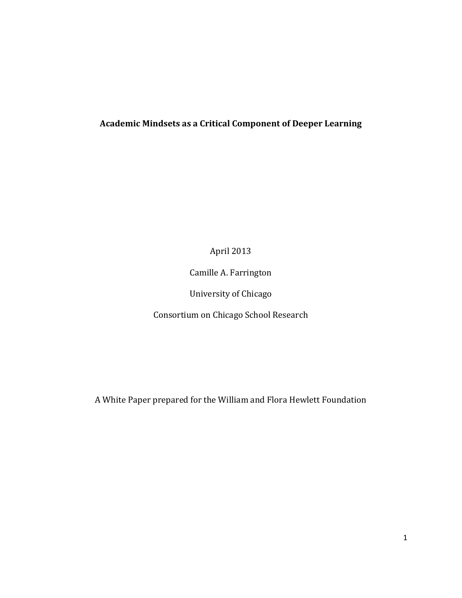# **Academic Mindsets as a Critical Component of Deeper Learning**

April 2013

Camille A. Farrington

University of Chicago

Consortium on Chicago School Research

A White Paper prepared for the William and Flora Hewlett Foundation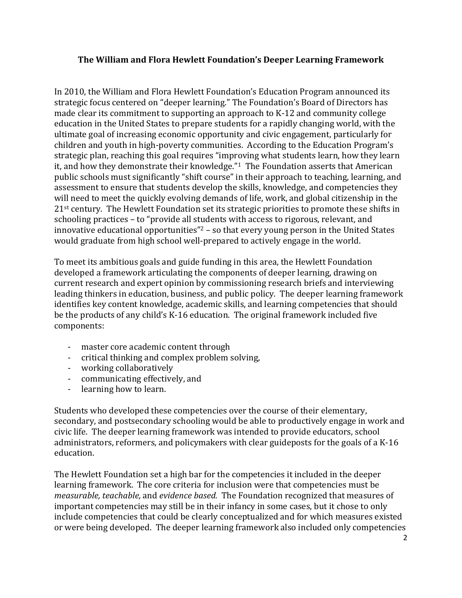#### **The William and Flora Hewlett Foundation's Deeper Learning Framework**

In 2010, the William and Flora Hewlett Foundation's Education Program announced its strategic focus centered on "deeper learning." The Foundation's Board of Directors has made clear its commitment to supporting an approach to K-12 and community college education in the United States to prepare students for a rapidly changing world, with the ultimate goal of increasing economic opportunity and civic engagement, particularly for children and youth in high-poverty communities. According to the Education Program's strategic plan, reaching this goal requires "improving what students learn, how they learn it, and how they demonstrate their knowledge." <sup>1</sup> The Foundation asserts that American public schools must significantly "shift course" in their approach to teaching, learning, and assessment to ensure that students develop the skills, knowledge, and competencies they will need to meet the quickly evolving demands of life, work, and global citizenship in the 21<sup>st</sup> century. The Hewlett Foundation set its strategic priorities to promote these shifts in schooling practices – to "provide all students with access to rigorous, relevant, and innovative educational opportunities"<sup>2</sup> – so that every young person in the United States would graduate from high school well-prepared to actively engage in the world.

To meet its ambitious goals and guide funding in this area, the Hewlett Foundation developed a framework articulating the components of deeper learning, drawing on current research and expert opinion by commissioning research briefs and interviewing leading thinkers in education, business, and public policy. The deeper learning framework identifies key content knowledge, academic skills, and learning competencies that should be the products of any child's K-16 education. The original framework included five components:

- master core academic content through
- critical thinking and complex problem solving,
- working collaboratively
- communicating effectively, and
- learning how to learn.

Students who developed these competencies over the course of their elementary, secondary, and postsecondary schooling would be able to productively engage in work and civic life. The deeper learning framework was intended to provide educators, school administrators, reformers, and policymakers with clear guideposts for the goals of a K-16 education.

The Hewlett Foundation set a high bar for the competencies it included in the deeper learning framework. The core criteria for inclusion were that competencies must be *measurable, teachable,* and *evidence based.* The Foundation recognized that measures of important competencies may still be in their infancy in some cases, but it chose to only include competencies that could be clearly conceptualized and for which measures existed or were being developed. The deeper learning framework also included only competencies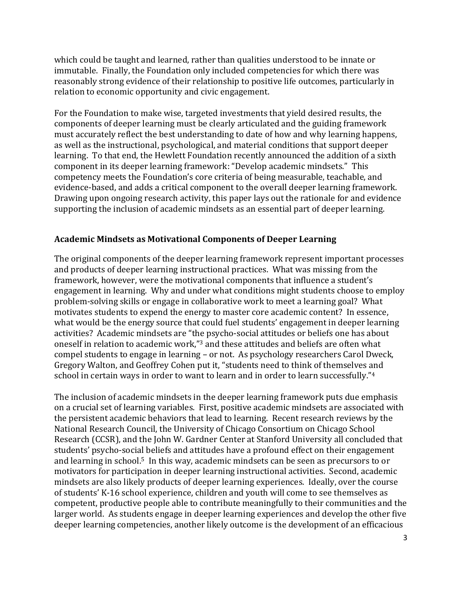which could be taught and learned, rather than qualities understood to be innate or immutable. Finally, the Foundation only included competencies for which there was reasonably strong evidence of their relationship to positive life outcomes, particularly in relation to economic opportunity and civic engagement.

For the Foundation to make wise, targeted investments that yield desired results, the components of deeper learning must be clearly articulated and the guiding framework must accurately reflect the best understanding to date of how and why learning happens, as well as the instructional, psychological, and material conditions that support deeper learning. To that end, the Hewlett Foundation recently announced the addition of a sixth component in its deeper learning framework: "Develop academic mindsets." This competency meets the Foundation's core criteria of being measurable, teachable, and evidence-based, and adds a critical component to the overall deeper learning framework. Drawing upon ongoing research activity, this paper lays out the rationale for and evidence supporting the inclusion of academic mindsets as an essential part of deeper learning.

## **Academic Mindsets as Motivational Components of Deeper Learning**

The original components of the deeper learning framework represent important processes and products of deeper learning instructional practices. What was missing from the framework, however, were the motivational components that influence a student's engagement in learning. Why and under what conditions might students choose to employ problem-solving skills or engage in collaborative work to meet a learning goal? What motivates students to expend the energy to master core academic content? In essence, what would be the energy source that could fuel students' engagement in deeper learning activities? Academic mindsets are "the psycho-social attitudes or beliefs one has about oneself in relation to academic work," <sup>3</sup> and these attitudes and beliefs are often what compel students to engage in learning – or not. As psychology researchers Carol Dweck, Gregory Walton, and Geoffrey Cohen put it, "students need to think of themselves and school in certain ways in order to want to learn and in order to learn successfully." 4

The inclusion of academic mindsets in the deeper learning framework puts due emphasis on a crucial set of learning variables. First, positive academic mindsets are associated with the persistent academic behaviors that lead to learning. Recent research reviews by the National Research Council, the University of Chicago Consortium on Chicago School Research (CCSR), and the John W. Gardner Center at Stanford University all concluded that students' psycho-social beliefs and attitudes have a profound effect on their engagement and learning in school. <sup>5</sup> In this way, academic mindsets can be seen as precursors to or motivators for participation in deeper learning instructional activities. Second, academic mindsets are also likely products of deeper learning experiences. Ideally, over the course of students' K-16 school experience, children and youth will come to see themselves as competent, productive people able to contribute meaningfully to their communities and the larger world. As students engage in deeper learning experiences and develop the other five deeper learning competencies, another likely outcome is the development of an efficacious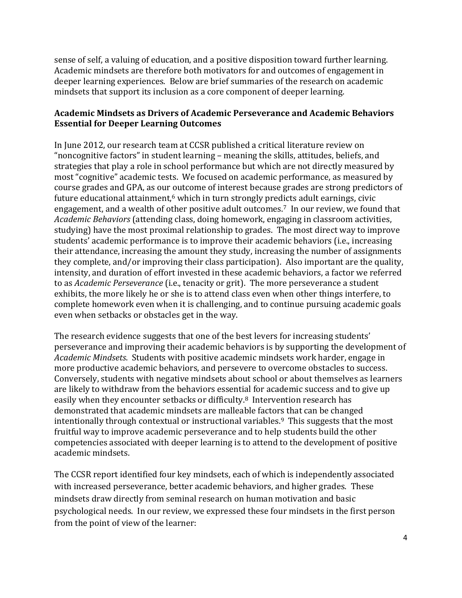sense of self, a valuing of education, and a positive disposition toward further learning. Academic mindsets are therefore both motivators for and outcomes of engagement in deeper learning experiences. Below are brief summaries of the research on academic mindsets that support its inclusion as a core component of deeper learning.

## **Academic Mindsets as Drivers of Academic Perseverance and Academic Behaviors Essential for Deeper Learning Outcomes**

In June 2012, our research team at CCSR published a critical literature review on "noncognitive factors" in student learning – meaning the skills, attitudes, beliefs, and strategies that play a role in school performance but which are not directly measured by most "cognitive" academic tests. We focused on academic performance, as measured by course grades and GPA, as our outcome of interest because grades are strong predictors of future educational attainment, $6$  which in turn strongly predicts adult earnings, civic engagement, and a wealth of other positive adult outcomes. <sup>7</sup> In our review, we found that *Academic Behaviors* (attending class, doing homework, engaging in classroom activities, studying) have the most proximal relationship to grades. The most direct way to improve students' academic performance is to improve their academic behaviors (i.e., increasing their attendance, increasing the amount they study, increasing the number of assignments they complete, and/or improving their class participation). Also important are the quality, intensity, and duration of effort invested in these academic behaviors, a factor we referred to as *Academic Perseverance* (i.e., tenacity or grit). The more perseverance a student exhibits, the more likely he or she is to attend class even when other things interfere, to complete homework even when it is challenging, and to continue pursuing academic goals even when setbacks or obstacles get in the way.

The research evidence suggests that one of the best levers for increasing students' perseverance and improving their academic behaviors is by supporting the development of *Academic Mindsets*. Students with positive academic mindsets work harder, engage in more productive academic behaviors, and persevere to overcome obstacles to success. Conversely, students with negative mindsets about school or about themselves as learners are likely to withdraw from the behaviors essential for academic success and to give up easily when they encounter setbacks or difficulty.8 Intervention research has demonstrated that academic mindsets are malleable factors that can be changed intentionally through contextual or instructional variables.9 This suggests that the most fruitful way to improve academic perseverance and to help students build the other competencies associated with deeper learning is to attend to the development of positive academic mindsets.

The CCSR report identified four key mindsets, each of which is independently associated with increased perseverance, better academic behaviors, and higher grades. These mindsets draw directly from seminal research on human motivation and basic psychological needs. In our review, we expressed these four mindsets in the first person from the point of view of the learner: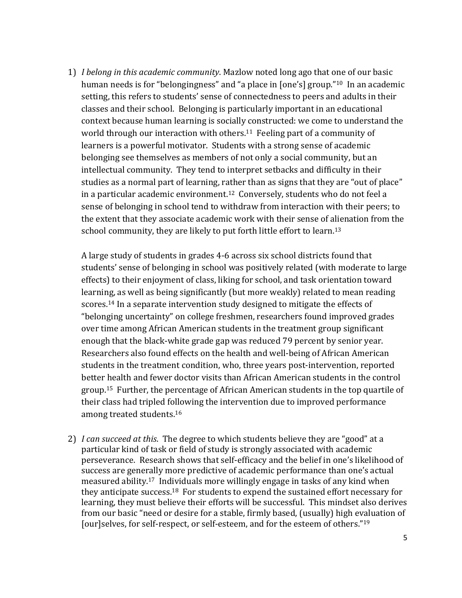1) *I belong in this academic community*. Mazlow noted long ago that one of our basic human needs is for "belongingness" and "a place in [one's] group."<sup>10</sup> In an academic setting, this refers to students' sense of connectedness to peers and adults in their classes and their school. Belonging is particularly important in an educational context because human learning is socially constructed: we come to understand the world through our interaction with others.<sup>11</sup> Feeling part of a community of learners is a powerful motivator. Students with a strong sense of academic belonging see themselves as members of not only a social community, but an intellectual community. They tend to interpret setbacks and difficulty in their studies as a normal part of learning, rather than as signs that they are "out of place" in a particular academic environment. <sup>12</sup> Conversely, students who do not feel a sense of belonging in school tend to withdraw from interaction with their peers; to the extent that they associate academic work with their sense of alienation from the school community, they are likely to put forth little effort to learn.<sup>13</sup>

A large study of students in grades 4-6 across six school districts found that students' sense of belonging in school was positively related (with moderate to large effects) to their enjoyment of class, liking for school, and task orientation toward learning, as well as being significantly (but more weakly) related to mean reading scores.<sup>14</sup> In a separate intervention study designed to mitigate the effects of "belonging uncertainty" on college freshmen, researchers found improved grades over time among African American students in the treatment group significant enough that the black-white grade gap was reduced 79 percent by senior year. Researchers also found effects on the health and well-being of African American students in the treatment condition, who, three years post-intervention, reported better health and fewer doctor visits than African American students in the control group.<sup>15</sup> Further, the percentage of African American students in the top quartile of their class had tripled following the intervention due to improved performance among treated students. 16

2) *I can succeed at this*. The degree to which students believe they are "good" at a particular kind of task or field of study is strongly associated with academic perseverance. Research shows that self-efficacy and the belief in one's likelihood of success are generally more predictive of academic performance than one's actual measured ability.17 Individuals more willingly engage in tasks of any kind when they anticipate success.18 For students to expend the sustained effort necessary for learning, they must believe their efforts will be successful. This mindset also derives from our basic "need or desire for a stable, firmly based, (usually) high evaluation of [our]selves, for self-respect, or self-esteem, and for the esteem of others."19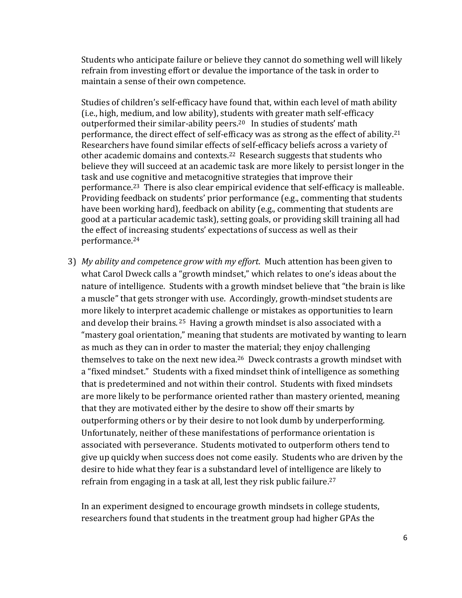Students who anticipate failure or believe they cannot do something well will likely refrain from investing effort or devalue the importance of the task in order to maintain a sense of their own competence.

Studies of children's self-efficacy have found that, within each level of math ability (i.e., high, medium, and low ability), students with greater math self-efficacy outperformed their similar-ability peers.<sup>20</sup> In studies of students' math performance, the direct effect of self-efficacy was as strong as the effect of ability.<sup>21</sup> Researchers have found similar effects of self-efficacy beliefs across a variety of other academic domains and contexts.<sup>22</sup> Research suggests that students who believe they will succeed at an academic task are more likely to persist longer in the task and use cognitive and metacognitive strategies that improve their performance.23 There is also clear empirical evidence that self-efficacy is malleable. Providing feedback on students' prior performance (e.g., commenting that students have been working hard), feedback on ability (e.g., commenting that students are good at a particular academic task), setting goals, or providing skill training all had the effect of increasing students' expectations of success as well as their performance.<sup>24</sup>

3) *My ability and competence grow with my effort*. Much attention has been given to what Carol Dweck calls a "growth mindset," which relates to one's ideas about the nature of intelligence. Students with a growth mindset believe that "the brain is like a muscle" that gets stronger with use. Accordingly, growth-mindset students are more likely to interpret academic challenge or mistakes as opportunities to learn and develop their brains. <sup>25</sup> Having a growth mindset is also associated with a "mastery goal orientation," meaning that students are motivated by wanting to learn as much as they can in order to master the material; they enjoy challenging themselves to take on the next new idea.26 Dweck contrasts a growth mindset with a "fixed mindset." Students with a fixed mindset think of intelligence as something that is predetermined and not within their control. Students with fixed mindsets are more likely to be performance oriented rather than mastery oriented, meaning that they are motivated either by the desire to show off their smarts by outperforming others or by their desire to not look dumb by underperforming. Unfortunately, neither of these manifestations of performance orientation is associated with perseverance. Students motivated to outperform others tend to give up quickly when success does not come easily. Students who are driven by the desire to hide what they fear is a substandard level of intelligence are likely to refrain from engaging in a task at all, lest they risk public failure.<sup>27</sup>

In an experiment designed to encourage growth mindsets in college students, researchers found that students in the treatment group had higher GPAs the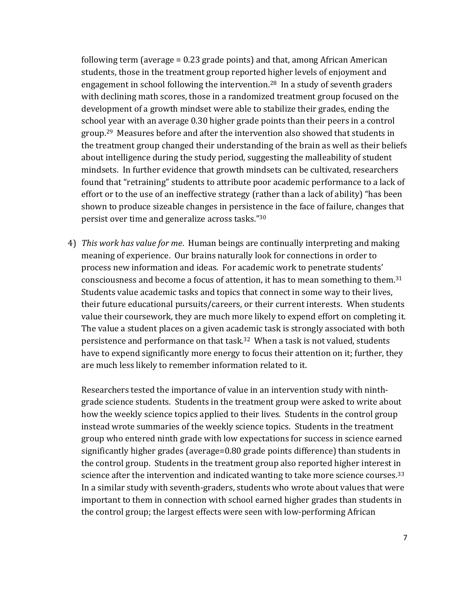following term (average = 0.23 grade points) and that, among African American students, those in the treatment group reported higher levels of enjoyment and engagement in school following the intervention.28 In a study of seventh graders with declining math scores, those in a randomized treatment group focused on the development of a growth mindset were able to stabilize their grades, ending the school year with an average 0.30 higher grade points than their peers in a control group.<sup>29</sup> Measures before and after the intervention also showed that students in the treatment group changed their understanding of the brain as well as their beliefs about intelligence during the study period, suggesting the malleability of student mindsets. In further evidence that growth mindsets can be cultivated, researchers found that "retraining" students to attribute poor academic performance to a lack of effort or to the use of an ineffective strategy (rather than a lack of ability) "has been shown to produce sizeable changes in persistence in the face of failure, changes that persist over time and generalize across tasks."<sup>30</sup>

4) *This work has value for me*. Human beings are continually interpreting and making meaning of experience. Our brains naturally look for connections in order to process new information and ideas. For academic work to penetrate students' consciousness and become a focus of attention, it has to mean something to them.<sup>31</sup> Students value academic tasks and topics that connect in some way to their lives, their future educational pursuits/careers, or their current interests. When students value their coursework, they are much more likely to expend effort on completing it. The value a student places on a given academic task is strongly associated with both persistence and performance on that task.32 When a task is not valued, students have to expend significantly more energy to focus their attention on it; further, they are much less likely to remember information related to it.

Researchers tested the importance of value in an intervention study with ninthgrade science students. Students in the treatment group were asked to write about how the weekly science topics applied to their lives. Students in the control group instead wrote summaries of the weekly science topics. Students in the treatment group who entered ninth grade with low expectations for success in science earned significantly higher grades (average=0.80 grade points difference) than students in the control group. Students in the treatment group also reported higher interest in science after the intervention and indicated wanting to take more science courses.<sup>33</sup> In a similar study with seventh-graders, students who wrote about values that were important to them in connection with school earned higher grades than students in the control group; the largest effects were seen with low-performing African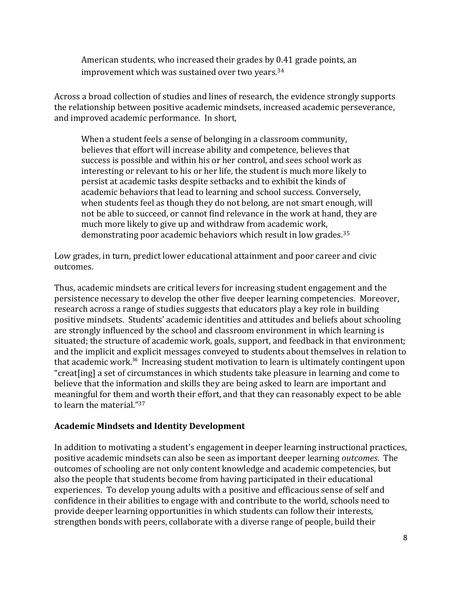American students, who increased their grades by 0.41 grade points, an improvement which was sustained over two years.<sup>34</sup>

Across a broad collection of studies and lines of research, the evidence strongly supports the relationship between positive academic mindsets, increased academic perseverance, and improved academic performance. In short,

When a student feels a sense of belonging in a classroom community, believes that effort will increase ability and competence, believes that success is possible and within his or her control, and sees school work as interesting or relevant to his or her life, the student is much more likely to persist at academic tasks despite setbacks and to exhibit the kinds of academic behaviors that lead to learning and school success. Conversely, when students feel as though they do not belong, are not smart enough, will not be able to succeed, or cannot find relevance in the work at hand, they are much more likely to give up and withdraw from academic work, demonstrating poor academic behaviors which result in low grades.<sup>35</sup>

Low grades, in turn, predict lower educational attainment and poor career and civic outcomes.

Thus, academic mindsets are critical levers for increasing student engagement and the persistence necessary to develop the other five deeper learning competencies. Moreover, research across a range of studies suggests that educators play a key role in building positive mindsets. Students' academic identities and attitudes and beliefs about schooling are strongly influenced by the school and classroom environment in which learning is situated; the structure of academic work, goals, support, and feedback in that environment; and the implicit and explicit messages conveyed to students about themselves in relation to that academic work.<sup>36</sup> Increasing student motivation to learn is ultimately contingent upon "creat[ing] a set of circumstances in which students take pleasure in learning and come to believe that the information and skills they are being asked to learn are important and meaningful for them and worth their effort, and that they can reasonably expect to be able to learn the material." 37

#### **Academic Mindsets and Identity Development**

In addition to motivating a student's engagement in deeper learning instructional practices, positive academic mindsets can also be seen as important deeper learning *outcomes*. The outcomes of schooling are not only content knowledge and academic competencies, but also the people that students become from having participated in their educational experiences. To develop young adults with a positive and efficacious sense of self and confidence in their abilities to engage with and contribute to the world, schools need to provide deeper learning opportunities in which students can follow their interests, strengthen bonds with peers, collaborate with a diverse range of people, build their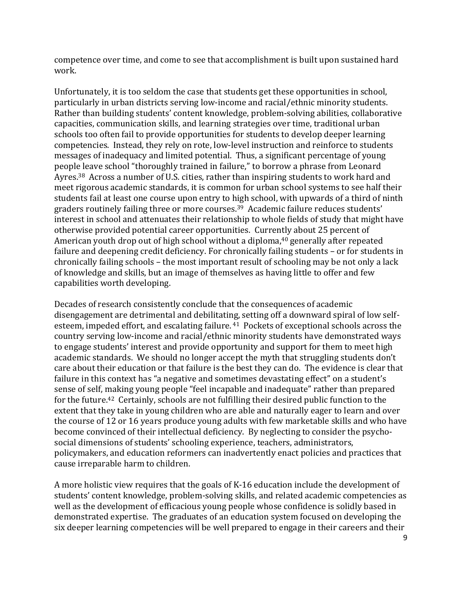competence over time, and come to see that accomplishment is built upon sustained hard work.

Unfortunately, it is too seldom the case that students get these opportunities in school, particularly in urban districts serving low-income and racial/ethnic minority students. Rather than building students' content knowledge, problem-solving abilities, collaborative capacities, communication skills, and learning strategies over time, traditional urban schools too often fail to provide opportunities for students to develop deeper learning competencies. Instead, they rely on rote, low-level instruction and reinforce to students messages of inadequacy and limited potential. Thus, a significant percentage of young people leave school "thoroughly trained in failure," to borrow a phrase from Leonard Ayres.<sup>38</sup> Across a number of U.S. cities, rather than inspiring students to work hard and meet rigorous academic standards, it is common for urban school systems to see half their students fail at least one course upon entry to high school, with upwards of a third of ninth graders routinely failing three or more courses.<sup>39</sup> Academic failure reduces students' interest in school and attenuates their relationship to whole fields of study that might have otherwise provided potential career opportunities. Currently about 25 percent of American youth drop out of high school without a diploma, <sup>40</sup> generally after repeated failure and deepening credit deficiency. For chronically failing students – or for students in chronically failing schools – the most important result of schooling may be not only a lack of knowledge and skills, but an image of themselves as having little to offer and few capabilities worth developing.

Decades of research consistently conclude that the consequences of academic disengagement are detrimental and debilitating, setting off a downward spiral of low selfesteem, impeded effort, and escalating failure. <sup>41</sup> Pockets of exceptional schools across the country serving low-income and racial/ethnic minority students have demonstrated ways to engage students' interest and provide opportunity and support for them to meet high academic standards. We should no longer accept the myth that struggling students don't care about their education or that failure is the best they can do. The evidence is clear that failure in this context has "a negative and sometimes devastating effect" on a student's sense of self, making young people "feel incapable and inadequate" rather than prepared for the future.42 Certainly, schools are not fulfilling their desired public function to the extent that they take in young children who are able and naturally eager to learn and over the course of 12 or 16 years produce young adults with few marketable skills and who have become convinced of their intellectual deficiency. By neglecting to consider the psychosocial dimensions of students' schooling experience, teachers, administrators, policymakers, and education reformers can inadvertently enact policies and practices that cause irreparable harm to children.

A more holistic view requires that the goals of K-16 education include the development of students' content knowledge, problem-solving skills, and related academic competencies as well as the development of efficacious young people whose confidence is solidly based in demonstrated expertise. The graduates of an education system focused on developing the six deeper learning competencies will be well prepared to engage in their careers and their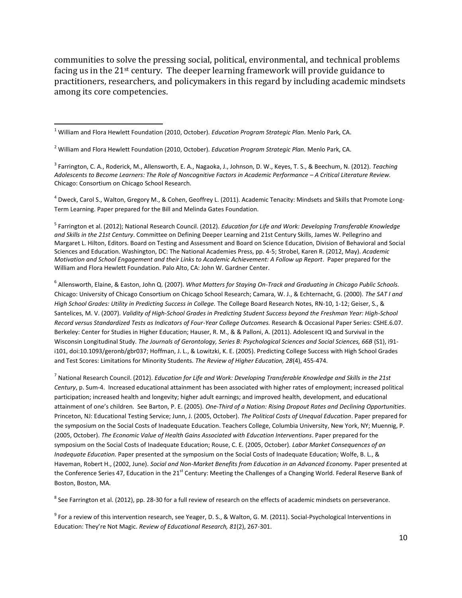communities to solve the pressing social, political, environmental, and technical problems facing us in the 21st century. The deeper learning framework will provide guidance to practitioners, researchers, and policymakers in this regard by including academic mindsets among its core competencies.

 $\overline{\phantom{a}}$ 

<sup>4</sup> Dweck, Carol S., Walton, Gregory M., & Cohen, Geoffrey L. (2011). Academic Tenacity: Mindsets and Skills that Promote Long-Term Learning. Paper prepared for the Bill and Melinda Gates Foundation.

5 Farrington et al. (2012); National Research Council. (2012). *Education for Life and Work: Developing Transferable Knowledge and Skills in the 21st Century*. Committee on Defining Deeper Learning and 21st Century Skills, James W. Pellegrino and Margaret L. Hilton, Editors. Board on Testing and Assessment and Board on Science Education, Division of Behavioral and Social Sciences and Education. Washington, DC: The National Academies Press, pp. 4-5; Strobel, Karen R. (2012, May). *Academic Motivation and School Engagement and their Links to Academic Achievement: A Follow up Report*. Paper prepared for the William and Flora Hewlett Foundation. Palo Alto, CA: John W. Gardner Center.

6 Allensworth, Elaine, & Easton, John Q. (2007). *What Matters for Staying On-Track and Graduating in Chicago Public Schools.*  Chicago: University of Chicago Consortium on Chicago School Research; Camara, W. J., & Echternacht, G. (2000). *The SAT I and High School Grades: Utility in Predicting Success in College.* The College Board Research Notes, RN-10, 1-12; Geiser, S., & Santelices, M. V. (2007). *Validity of High-School Grades in Predicting Student Success beyond the Freshman Year: High-School Record versus Standardized Tests as Indicators of Four-Year College Outcomes.* Research & Occasional Paper Series: CSHE.6.07. Berkeley: Center for Studies in Higher Education; Hauser, R. M., & & Palloni, A. (2011). Adolescent IQ and Survival in the Wisconsin Longitudinal Study. *The Journals of Gerontology, Series B: Psychological Sciences and Social Sciences, 66B* (S1), i91 i101, doi:10.1093/geronb/gbr037; Hoffman, J. L., & Lowitzki, K. E. (2005). Predicting College Success with High School Grades and Test Scores: Limitations for Minority Students. *The Review of Higher Education, 28*(4), 455-474.

7 National Research Council. (2012). *Education for Life and Work: Developing Transferable Knowledge and Skills in the 21st Century*, p. Sum-4. Increased educational attainment has been associated with higher rates of employment; increased political participation; increased health and longevity; higher adult earnings; and improved health, development, and educational attainment of one's children. See Barton, P. E. (2005). *One-Third of a Nation: Rising Dropout Rates and Declining Opportunities*. Princeton, NJ: Educational Testing Service; Junn, J. (2005, October). *The Political Costs of Unequal Education*. Paper prepared for the symposium on the Social Costs of Inadequate Education. Teachers College, Columbia University, New York, NY; Muennig, P. (2005, October). *The Economic Value of Health Gains Associated with Education Interventions*. Paper prepared for the symposium on the Social Costs of Inadequate Education; Rouse, C. E. (2005, October). *Labor Market Consequences of an Inadequate Education.* Paper presented at the symposium on the Social Costs of Inadequate Education; Wolfe, B. L., & Haveman, Robert H., (2002, June). *Social and Non-Market Benefits from Education in an Advanced Economy.* Paper presented at the Conference Series 47, Education in the 21<sup>st</sup> Century: Meeting the Challenges of a Changing World. Federal Reserve Bank of Boston, Boston, MA.

 $^8$  See Farrington et al. (2012), pp. 28-30 for a full review of research on the effects of academic mindsets on perseverance.

<sup>9</sup> For a review of this intervention research, see Yeager, D. S., & Walton, G. M. (2011). Social-Psychological Interventions in Education: They're Not Magic. *Review of Educational Research, 81*(2), 267-301.

<sup>1</sup> William and Flora Hewlett Foundation (2010, October). *Education Program Strategic Plan.* Menlo Park, CA.

<sup>2</sup> William and Flora Hewlett Foundation (2010, October). *Education Program Strategic Plan.* Menlo Park, CA.

<sup>3</sup> Farrington, C. A., Roderick, M., Allensworth, E. A., Nagaoka, J., Johnson, D. W., Keyes, T. S., & Beechum, N. (2012). *Teaching Adolescents to Become Learners: The Role of Noncognitive Factors in Academic Performance – A Critical Literature Review.* Chicago: Consortium on Chicago School Research.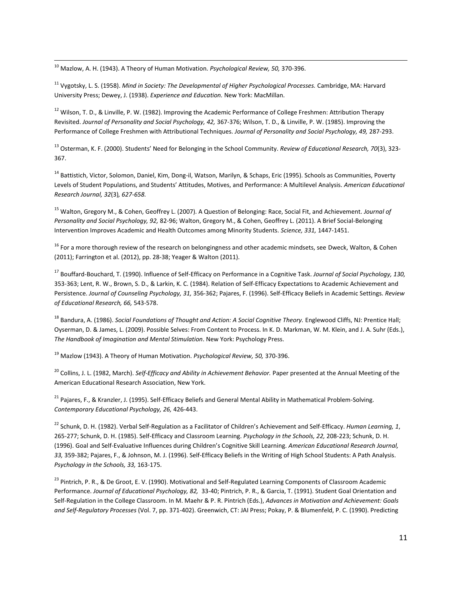<sup>10</sup> Mazlow, A. H. (1943). A Theory of Human Motivation. *Psychological Review, 50,* 370-396.

 $\overline{\phantom{a}}$ 

<sup>11</sup> Vygotsky, L. S. (1958). *Mind in Society: The Developmental of Higher Psychological Processes.* Cambridge, MA: Harvard University Press; Dewey, J. (1938). *Experience and Education.* New York: MacMillan.

<sup>12</sup> Wilson, T. D., & Linville, P. W. (1982). Improving the Academic Performance of College Freshmen: Attribution Therapy Revisited. Journal of Personality and Social Psychology, 42, 367-376; Wilson, T. D., & Linville, P. W. (1985). Improving the Performance of College Freshmen with Attributional Techniques. *Journal of Personality and Social Psychology, 49,* 287-293.

<sup>13</sup> Osterman, K. F. (2000). Students' Need for Belonging in the School Community. *Review of Educational Research, 70*(3), 323- 367.

<sup>14</sup> Battistich, Victor, Solomon, Daniel, Kim, Dong-il, Watson, Marilyn, & Schaps, Eric (1995). Schools as Communities, Poverty Levels of Student Populations, and Students' Attitudes, Motives, and Performance: A Multilevel Analysis. *American Educational Research Journal, 32*(3)*, 627-658.*

<sup>15</sup> Walton, Gregory M., & Cohen, Geoffrey L. (2007). A Question of Belonging: Race, Social Fit, and Achievement. *Journal of Personality and Social Psychology, 92,* 82-96; Walton, Gregory M., & Cohen, Geoffrey L. (2011). A Brief Social-Belonging Intervention Improves Academic and Health Outcomes among Minority Students. *Science, 331,* 1447-1451.

<sup>16</sup> For a more thorough review of the research on belongingness and other academic mindsets, see Dweck, Walton, & Cohen (2011); Farrington et al. (2012), pp. 28-38; Yeager & Walton (2011).

<sup>17</sup> Bouffard-Bouchard, T. (1990). Influence of Self-Efficacy on Performance in a Cognitive Task. *Journal of Social Psychology, 130,* 353-363; Lent, R. W., Brown, S. D., & Larkin, K. C. (1984). Relation of Self-Efficacy Expectations to Academic Achievement and Persistence. *Journal of Counseling Psychology, 31,* 356-362; Pajares, F. (1996). Self-Efficacy Beliefs in Academic Settings. *Review of Educational Research, 66,* 543-578.

<sup>18</sup> Bandura, A. (1986). *Social Foundations of Thought and Action: A Social Cognitive Theory. Englewood Cliffs, NJ: Prentice Hall;* Oyserman, D. & James, L. (2009). Possible Selves: From Content to Process. In K. D. Markman, W. M. Klein, and J. A. Suhr (Eds.), *The Handbook of Imagination and Mental Stimulation*. New York: Psychology Press.

<sup>19</sup> Mazlow (1943). A Theory of Human Motivation. *Psychological Review, 50,* 370-396.

<sup>20</sup> Collins, J. L. (1982, March). *Self-Efficacy and Ability in Achievement Behavior.* Paper presented at the Annual Meeting of the American Educational Research Association, New York.

 $^{21}$  Pajares, F., & Kranzler, J. (1995). Self-Efficacy Beliefs and General Mental Ability in Mathematical Problem-Solving. *Contemporary Educational Psychology, 26,* 426-443.

<sup>22</sup> Schunk, D. H. (1982). Verbal Self-Regulation as a Facilitator of Children's Achievement and Self-Efficacy. *Human Learning, 1*, 265-277; Schunk, D. H. (1985). Self-Efficacy and Classroom Learning. *Psychology in the Schools, 22,* 208-223; Schunk, D. H. (1996). Goal and Self-Evaluative Influences during Children's Cognitive Skill Learning. *American Educational Research Journal, 33,* 359-382; Pajares, F., & Johnson, M. J. (1996). Self-Efficacy Beliefs in the Writing of High School Students: A Path Analysis. *Psychology in the Schools, 33,* 163-175.

<sup>23</sup> Pintrich, P. R., & De Groot, E. V. (1990). Motivational and Self-Regulated Learning Components of Classroom Academic Performance. *Journal of Educational Psychology, 82,* 33-40; Pintrich, P. R., & Garcia, T. (1991). Student Goal Orientation and Self-Regulation in the College Classroom. In M. Maehr & P. R. Pintrich (Eds.), *Advances in Motivation and Achievement: Goals and Self-Regulatory Processes* (Vol. 7, pp. 371-402). Greenwich, CT: JAI Press; Pokay, P. & Blumenfeld, P. C. (1990). Predicting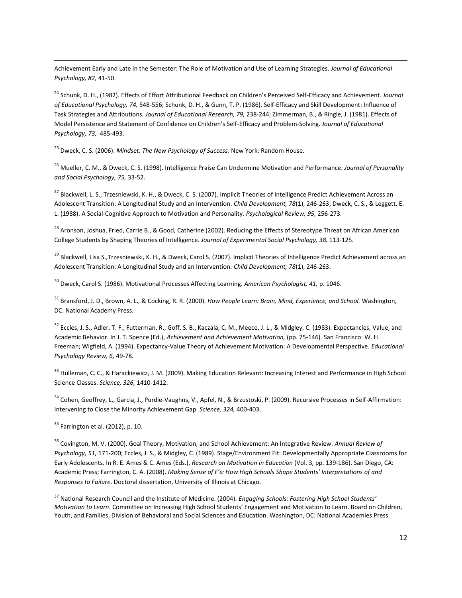$\overline{\phantom{a}}$ Achievement Early and Late in the Semester: The Role of Motivation and Use of Learning Strategies. *Journal of Educational Psychology, 82,* 41-50.

<sup>24</sup> Schunk, D. H., (1982). Effects of Effort Attributional Feedback on Children's Perceived Self-Efficacy and Achievement. *Journal of Educational Psychology, 74,* 548-556; Schunk, D. H., & Gunn, T. P. (1986). Self-Efficacy and Skill Development: Influence of Task Strategies and Attributions. *Journal of Educational Research, 79,* 238-244; Zimmerman, B., & Ringle, J. (1981). Effects of Model Persistence and Statement of Confidence on Children's Self-Efficacy and Problem-Solving. *Journal of Educational Psychology, 73,* 485-493.

<sup>25</sup> Dweck, C. S. (2006). *Mindset: The New Psychology of Success.* New York: Random House.

<sup>26</sup> Mueller, C. M., & Dweck, C. S. (1998). Intelligence Praise Can Undermine Motivation and Performance. *Journal of Personality and Social Psychology, 75,* 33-52.

<sup>27</sup> Blackwell, L. S., Trzesniewski, K. H., & Dweck, C. S. (2007). Implicit Theories of Intelligence Predict Achievement Across an Adolescent Transition: A Longitudinal Study and an Intervention. *Child Development, 78*(1), 246-263; Dweck, C. S., & Leggett, E. L. (1988). A Social-Cognitive Approach to Motivation and Personality. *Psychological Review, 95,* 256-273.

<sup>28</sup> Aronson, Joshua, Fried, Carrie B., & Good, Catherine (2002). Reducing the Effects of Stereotype Threat on African American College Students by Shaping Theories of Intelligence. *Journal of Experimental Social Psychology, 38,* 113-125.

<sup>29</sup> Blackwell, Lisa S.,Trzesniewski, K. H., & Dweck, Carol S. (2007). Implicit Theories of Intelligence Predict Achievement across an Adolescent Transition: A Longitudinal Study and an Intervention. *Child Development, 78*(1), 246-263.

<sup>30</sup> Dweck, Carol S. (1986). Motivational Processes Affecting Learning. *American Psychologist, 41,* p. 1046.

<sup>31</sup> Bransford, J. D., Brown, A. L., & Cocking, R. R. (2000). *How People Learn: Brain, Mind, Experience, and School.* Washington, DC: National Academy Press.

<sup>32</sup> Eccles, J. S., Adler, T. F., Futterman, R., Goff, S. B., Kaczala, C. M., Meece, J. L., & Midgley, C. (1983). Expectancies, Value, and Academic Behavior. In J. T. Spence (Ed.), *Achievement and Achievement Motivation,* (pp. 75-146)*.* San Francisco: W. H. Freeman; Wigfield, A. (1994). Expectancy-Value Theory of Achievement Motivation: A Developmental Perspective. *Educational Psychology Review, 6,* 49-78.

<sup>33</sup> Hulleman, C. C., & Harackiewicz, J. M. (2009). Making Education Relevant: Increasing Interest and Performance in High School Science Classes. *Science, 326,* 1410-1412.

<sup>34</sup> Cohen, Geoffrey, L., Garcia, J., Purdie-Vaughns, V., Apfel, N., & Brzustoski, P. (2009). Recursive Processes in Self-Affirmation: Intervening to Close the Minority Achievement Gap. *Science, 324,* 400-403.

 $35$  Farrington et al. (2012), p. 10.

<sup>36</sup> Covington, M. V. (2000). Goal Theory, Motivation, and School Achievement: An Integrative Review. *Annual Review of Psychology, 51,* 171-200; Eccles, J. S., & Midgley, C. (1989). Stage/Environment Fit: Developmentally Appropriate Classrooms for Early Adolescents. In R. E. Ames & C. Ames (Eds.), *Research on Motivation in Education* (Vol. 3, pp. 139-186). San Diego, CA: Academic Press; Farrington, C. A. (2008). *Making Sense of F's: How High Schools Shape Students' Interpretations of and Responses to Failure*. Doctoral dissertation, University of Illinois at Chicago.

<sup>37</sup> National Research Council and the Institute of Medicine. (2004). *Engaging Schools: Fostering High School Students' Motivation to Learn*. Committee on Increasing High School Students' Engagement and Motivation to Learn. Board on Children, Youth, and Families, Division of Behavioral and Social Sciences and Education. Washington, DC: National Academies Press.